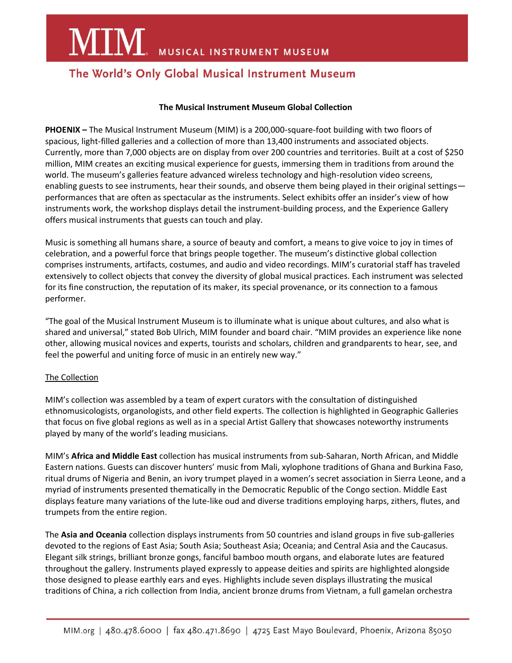**MIM** MUSICAL INSTRUMENT MUSEUM

## The World's Only Global Musical Instrument Museum

#### **The Musical Instrument Museum Global Collection**

**PHOENIX –** The Musical Instrument Museum (MIM) is a 200,000-square-foot building with two floors of spacious, light-filled galleries and a collection of more than 13,400 instruments and associated objects. Currently, more than 7,000 objects are on display from over 200 countries and territories. Built at a cost of \$250 million, MIM creates an exciting musical experience for guests, immersing them in traditions from around the world. The museum's galleries feature advanced wireless technology and high-resolution video screens, enabling guests to see instruments, hear their sounds, and observe them being played in their original settings performances that are often as spectacular as the instruments. Select exhibits offer an insider's view of how instruments work, the workshop displays detail the instrument-building process, and the Experience Gallery offers musical instruments that guests can touch and play.

Music is something all humans share, a source of beauty and comfort, a means to give voice to joy in times of celebration, and a powerful force that brings people together. The museum's distinctive global collection comprises instruments, artifacts, costumes, and audio and video recordings. MIM's curatorial staff has traveled extensively to collect objects that convey the diversity of global musical practices. Each instrument was selected for its fine construction, the reputation of its maker, its special provenance, or its connection to a famous performer.

"The goal of the Musical Instrument Museum is to illuminate what is unique about cultures, and also what is shared and universal," stated Bob Ulrich, MIM founder and board chair. "MIM provides an experience like none other, allowing musical novices and experts, tourists and scholars, children and grandparents to hear, see, and feel the powerful and uniting force of music in an entirely new way."

### The Collection

MIM's collection was assembled by a team of expert curators with the consultation of distinguished ethnomusicologists, organologists, and other field experts. The collection is highlighted in Geographic Galleries that focus on five global regions as well as in a special Artist Gallery that showcases noteworthy instruments played by many of the world's leading musicians.

MIM's **Africa and Middle East** collection has musical instruments from sub-Saharan, North African, and Middle Eastern nations. Guests can discover hunters' music from Mali, xylophone traditions of Ghana and Burkina Faso, ritual drums of Nigeria and Benin, an ivory trumpet played in a women's secret association in Sierra Leone, and a myriad of instruments presented thematically in the Democratic Republic of the Congo section. Middle East displays feature many variations of the lute-like oud and diverse traditions employing harps, zithers, flutes, and trumpets from the entire region.

The **Asia and Oceania** collection displays instruments from 50 countries and island groups in five sub-galleries devoted to the regions of East Asia; South Asia; Southeast Asia; Oceania; and Central Asia and the Caucasus. Elegant silk strings, brilliant bronze gongs, fanciful bamboo mouth organs, and elaborate lutes are featured throughout the gallery. Instruments played expressly to appease deities and spirits are highlighted alongside those designed to please earthly ears and eyes. Highlights include seven displays illustrating the musical traditions of China, a rich collection from India, ancient bronze drums from Vietnam, a full gamelan orchestra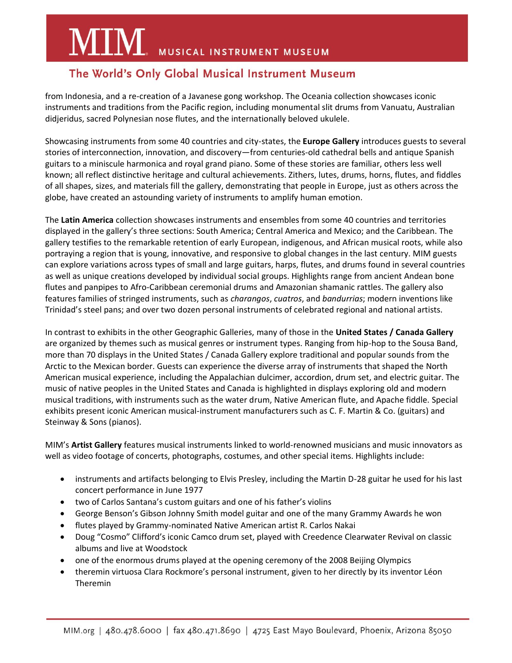# **MIM** MUSICAL INSTRUMENT MUSEUM

# The World's Only Global Musical Instrument Museum

from Indonesia, and a re-creation of a Javanese gong workshop. The Oceania collection showcases iconic instruments and traditions from the Pacific region, including monumental slit drums from Vanuatu, Australian didjeridus, sacred Polynesian nose flutes, and the internationally beloved ukulele.

Showcasing instruments from some 40 countries and city-states, the **Europe Gallery** introduces guests to several stories of interconnection, innovation, and discovery—from centuries-old cathedral bells and antique Spanish guitars to a miniscule harmonica and royal grand piano. Some of these stories are familiar, others less well known; all reflect distinctive heritage and cultural achievements. Zithers, lutes, drums, horns, flutes, and fiddles of all shapes, sizes, and materials fill the gallery, demonstrating that people in Europe, just as others across the globe, have created an astounding variety of instruments to amplify human emotion.

The **Latin America** collection showcases instruments and ensembles from some 40 countries and territories displayed in the gallery's three sections: South America; Central America and Mexico; and the Caribbean. The gallery testifies to the remarkable retention of early European, indigenous, and African musical roots, while also portraying a region that is young, innovative, and responsive to global changes in the last century. MIM guests can explore variations across types of small and large guitars, harps, flutes, and drums found in several countries as well as unique creations developed by individual social groups. Highlights range from ancient Andean bone flutes and panpipes to Afro-Caribbean ceremonial drums and Amazonian shamanic rattles. The gallery also features families of stringed instruments, such as *charangos*, *cuatros*, and *bandurrias*; modern inventions like Trinidad's steel pans; and over two dozen personal instruments of celebrated regional and national artists.

In contrast to exhibits in the other Geographic Galleries, many of those in the **United States / Canada Gallery** are organized by themes such as musical genres or instrument types. Ranging from hip-hop to the Sousa Band, more than 70 displays in the United States / Canada Gallery explore traditional and popular sounds from the Arctic to the Mexican border. Guests can experience the diverse array of instruments that shaped the North American musical experience, including the Appalachian dulcimer, accordion, drum set, and electric guitar. The music of native peoples in the United States and Canada is highlighted in displays exploring old and modern musical traditions, with instruments such as the water drum, Native American flute, and Apache fiddle. Special exhibits present iconic American musical-instrument manufacturers such as C. F. Martin & Co. (guitars) and Steinway & Sons (pianos).

MIM's **Artist Gallery** features musical instruments linked to world-renowned musicians and music innovators as well as video footage of concerts, photographs, costumes, and other special items. Highlights include:

- instruments and artifacts belonging to Elvis Presley, including the Martin D-28 guitar he used for his last concert performance in June 1977
- two of Carlos Santana's custom guitars and one of his father's violins
- George Benson's Gibson Johnny Smith model guitar and one of the many Grammy Awards he won
- flutes played by Grammy-nominated Native American artist R. Carlos Nakai
- Doug "Cosmo" Clifford's iconic Camco drum set, played with Creedence Clearwater Revival on classic albums and live at Woodstock
- one of the enormous drums played at the opening ceremony of the 2008 Beijing Olympics
- theremin virtuosa Clara Rockmore's personal instrument, given to her directly by its inventor Léon Theremin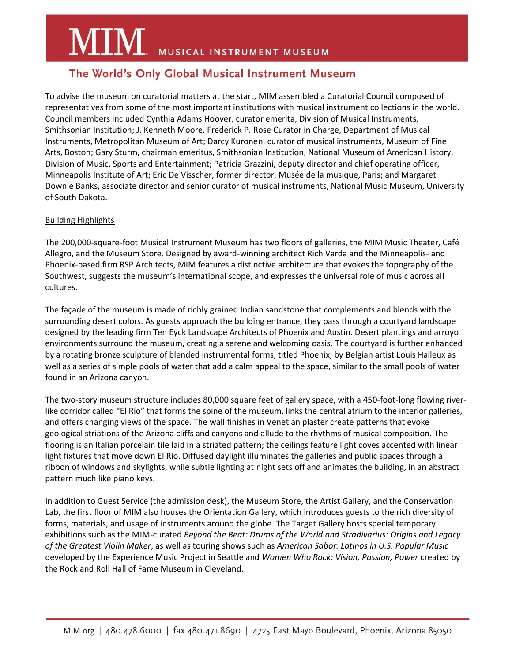# **MIM** MUSICAL INSTRUMENT MUSEUM

## The World's Only Global Musical Instrument Museum

To advise the museum on curatorial matters at the start, MIM assembled a Curatorial Council composed of representatives from some of the most important institutions with musical instrument collections in the world. Council members included Cynthia Adams Hoover, curator emerita, Division of Musical Instruments, Smithsonian Institution; J. Kenneth Moore, Frederick P. Rose Curator in Charge, Department of Musical Instruments, Metropolitan Museum of Art; Darcy Kuronen, curator of musical instruments, Museum of Fine Arts, Boston; Gary Sturm, chairman emeritus, Smithsonian Institution, National Museum of American History, Division of Music, Sports and Entertainment; Patricia Grazzini, deputy director and chief operating officer, Minneapolis Institute of Art; Eric De Visscher, former director, Musée de la musique, Paris; and Margaret Downie Banks, associate director and senior curator of musical instruments, National Music Museum, University of South Dakota.

## Building Highlights

The 200,000-square-foot Musical Instrument Museum has two floors of galleries, the MIM Music Theater, Café Allegro, and the Museum Store. Designed by award-winning architect Rich Varda and the Minneapolis- and Phoenix-based firm RSP Architects, MIM features a distinctive architecture that evokes the topography of the Southwest, suggests the museum's international scope, and expresses the universal role of music across all cultures.

The façade of the museum is made of richly grained Indian sandstone that complements and blends with the surrounding desert colors. As guests approach the building entrance, they pass through a courtyard landscape designed by the leading firm Ten Eyck Landscape Architects of Phoenix and Austin. Desert plantings and arroyo environments surround the museum, creating a serene and welcoming oasis. The courtyard is further enhanced by a rotating bronze sculpture of blended instrumental forms, titled Phoenix, by Belgian artist Louis Halleux as well as a series of simple pools of water that add a calm appeal to the space, similar to the small pools of water found in an Arizona canyon.

The two-story museum structure includes 80,000 square feet of gallery space, with a 450-foot-long flowing riverlike corridor called "El Río" that forms the spine of the museum, links the central atrium to the interior galleries, and offers changing views of the space. The wall finishes in Venetian plaster create patterns that evoke geological striations of the Arizona cliffs and canyons and allude to the rhythms of musical composition. The flooring is an Italian porcelain tile laid in a striated pattern; the ceilings feature light coves accented with linear light fixtures that move down El Río. Diffused daylight illuminates the galleries and public spaces through a ribbon of windows and skylights, while subtle lighting at night sets off and animates the building, in an abstract pattern much like piano keys.

In addition to Guest Service (the admission desk), the Museum Store, the Artist Gallery, and the Conservation Lab, the first floor of MIM also houses the Orientation Gallery, which introduces guests to the rich diversity of forms, materials, and usage of instruments around the globe. The Target Gallery hosts special temporary exhibitions such as the MIM-curated *Beyond the Beat: Drums of the World and Stradivarius: Origins and Legacy of the Greatest Violin Maker*, as well as touring shows such as *American Sabor: Latinos in U.S. Popular Music* developed by the Experience Music Project in Seattle and *Women Who Rock: Vision, Passion, Power* created by the Rock and Roll Hall of Fame Museum in Cleveland.